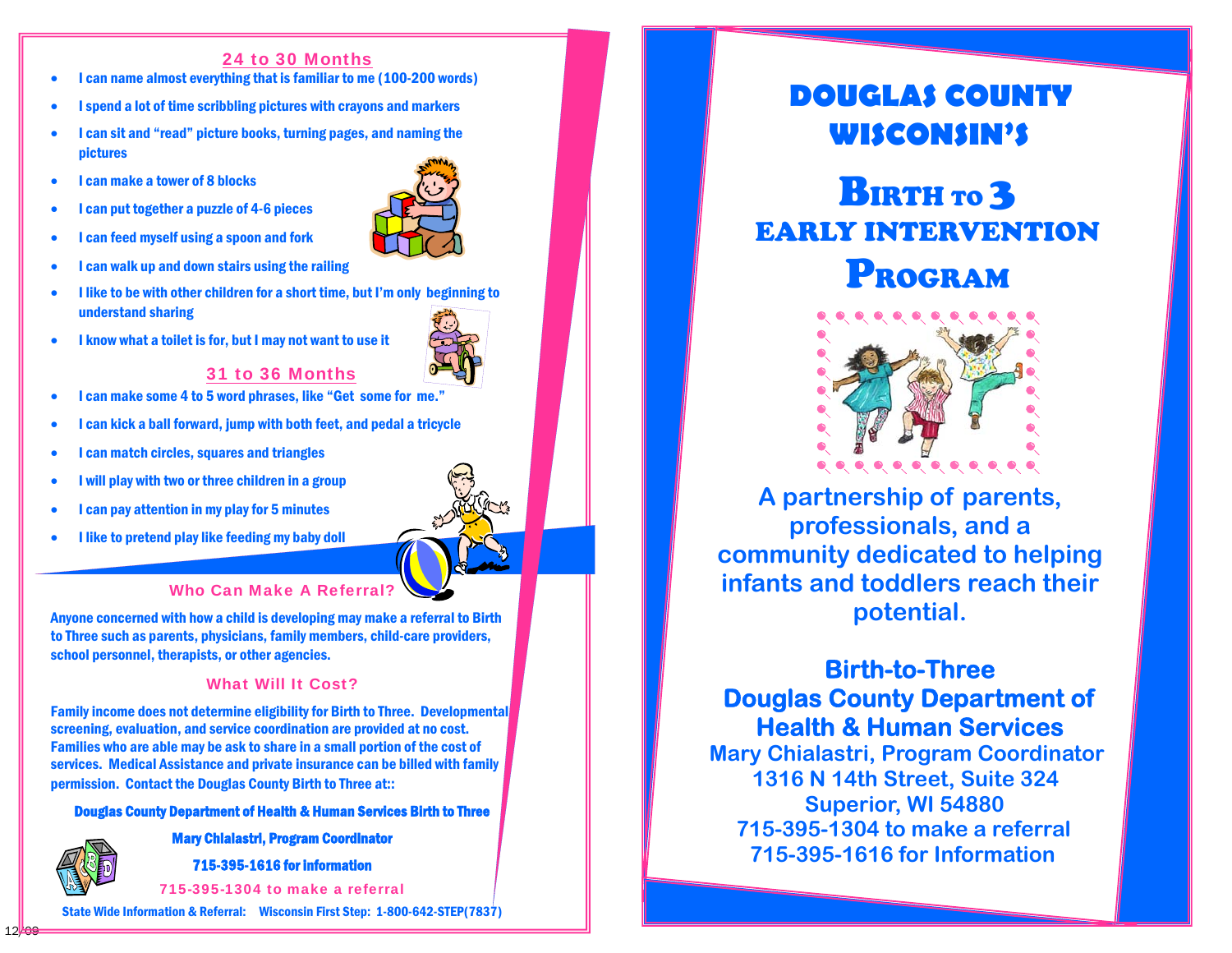### 24 to 30 Months

- I can name almost everything that is familiar to me (100-200 words)
- I spend a lot of time scribbling pictures with crayons and markers
- I can sit and "read" picture books, turning pages, and naming the pictures
- I can make a tower of 8 blocks
- I can put together a puzzle of 4-6 pieces



- I can walk up and down stairs using the railing
- I like to be with other children for a short time, but I'm only beginning to understand sharing
- I know what a toilet is for, but I may not want to use it



### 31 to 36 Months

- I can make some 4 to 5 word phrases, like "Get some for me."
- I can kick a ball forward, jump with both feet, and pedal a tricycle
- I can match circles, squares and triangles
- I will play with two or three children in a group
- I can pay attention in my play for 5 minutes
- I like to pretend play like feeding my baby doll



Anyone concerned with how a child is developing may make a referral to Birth to Three such as parents, physicians, family members, child-care providers, school personnel, therapists, or other agencies.

### What Will It Cost?

Family income does not determine eligibility for Birth to Three. Developmental screening, evaluation, and service coordination are provided at no cost. Families who are able may be ask to share in a small portion of the cost of services. Medical Assistance and private insurance can be billed with family permission. Contact the Douglas County Birth to Three at::

Douglas County Department of Health & Human Services Birth to Three

Mary Chialastri, Program Coordinator



715-395-1616 for information

715-395-1304 to make a referral

State Wide Information & Referral: Wisconsin First Step: 1-800-642-STEP(7837)

## **DOUGLAS COUNTY WISCONSIN'S**

# **BIRTH TO 3** EARLY INTERVENTION PROGRAM



**A partnership of parents, professionals, and a community dedicated to helping infants and toddlers reach their potential.** 

### **Birth-to-Three Douglas County Department of Health & Human Services**

**Mary Chialastri, Program Coordinator 1316 N 14th Street, Suite 324 Superior, WI 54880 715-395-1304 to make a referral 715-395-1616 for Information**